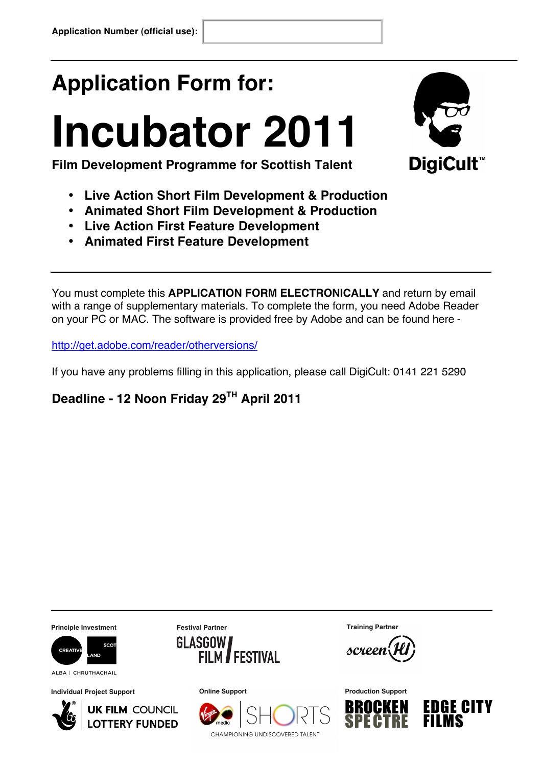# **Application Form for:**

# **Incubator 2011**



**Film Development Programme for Scottish Talent**

- **Live Action Short Film Development & Production**
- **Animated Short Film Development & Production**
- **Live Action First Feature Development**
- **Animated First Feature Development**

You must complete this **APPLICATION FORM ELECTRONICALLY** and return by email with a range of supplementary materials. To complete the form, you need Adobe Reader on your PC or MAC. The software is provided free by Adobe and can be found here -

http://get.adobe.com/reader/otherversions/

If you have any problems filling in this application, please call DigiCult: 0141 221 5290

**Deadline - 12 Noon Friday 29TH April 2011**

**Principle Investment Festival Partner** 



ALBA | CHRUTHACHAIL

**Individual Project Support**





**Training Partner**

scree





CHAMPIONING UNDISCOVERED TALENT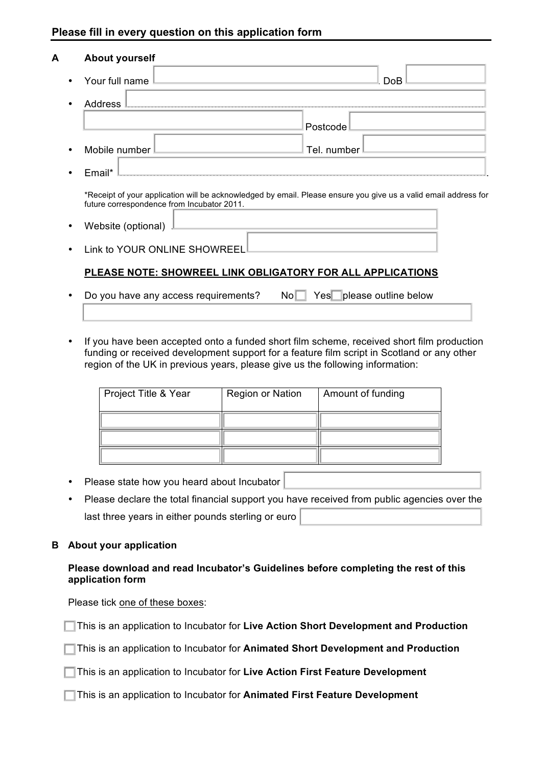# **Please fill in every question on this application form**

| A | <b>About yourself</b>                                                                                                                                         |                          |
|---|---------------------------------------------------------------------------------------------------------------------------------------------------------------|--------------------------|
|   | Your full name                                                                                                                                                | <b>DoB</b>               |
|   | Address                                                                                                                                                       |                          |
|   |                                                                                                                                                               | Postcode                 |
|   | Mobile number                                                                                                                                                 | Tel. number              |
|   | Email*                                                                                                                                                        |                          |
|   | *Receipt of your application will be acknowledged by email. Please ensure you give us a valid email address for<br>future correspondence from Incubator 2011. |                          |
|   | Website (optional) $\perp$                                                                                                                                    |                          |
|   | Link to YOUR ONLINE SHOWREEL                                                                                                                                  |                          |
|   | PLEASE NOTE: SHOWREEL LINK OBLIGATORY FOR ALL APPLICATIONS                                                                                                    |                          |
|   | Do you have any access requirements?<br>Nol                                                                                                                   | Yes please outline below |

• If you have been accepted onto a funded short film scheme, received short film production funding or received development support for a feature film script in Scotland or any other region of the UK in previous years, please give us the following information:

| Project Title & Year | <b>Region or Nation</b> | Amount of funding |
|----------------------|-------------------------|-------------------|
|                      |                         |                   |
|                      |                         |                   |
|                      |                         |                   |

- Please state how you heard about Incubator
- Please declare the total financial support you have received from public agencies over the last three years in either pounds sterling or euro

#### **B About your application**

# **Please download and read Incubator's Guidelines before completing the rest of this application form**

Please tick one of these boxes:

□ This is an application to Incubator for **Live Action Short Development and Production** 

□ This is an application to Incubator for **Animated Short Development and Production** 

□ This is an application to Incubator for **Live Action First Feature Development** 

This is an application to Incubator for Animated First Feature Development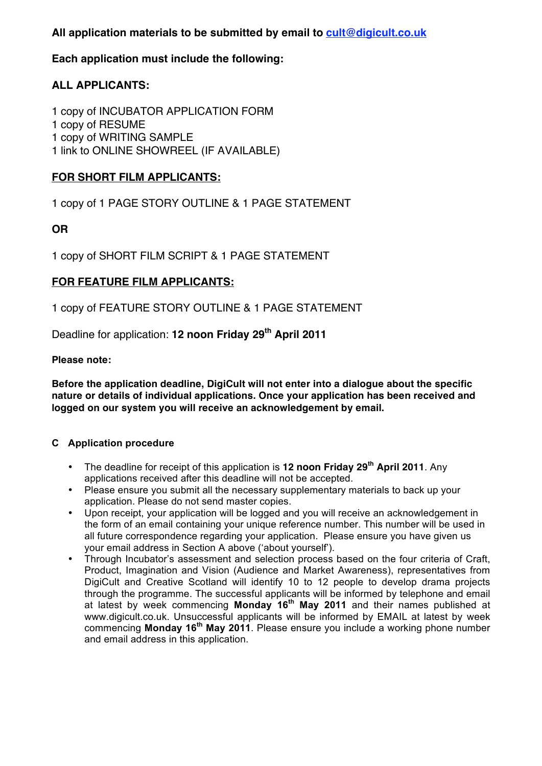# **All application materials to be submitted by email to cult@digicult.co.uk**

**Each application must include the following:**

# **ALL APPLICANTS:**

1 copy of INCUBATOR APPLICATION FORM 1 copy of RESUME 1 copy of WRITING SAMPLE 1 link to ONLINE SHOWREEL (IF AVAILABLE)

# **FOR SHORT FILM APPLICANTS:**

1 copy of 1 PAGE STORY OUTLINE & 1 PAGE STATEMENT

# **OR**

1 copy of SHORT FILM SCRIPT & 1 PAGE STATEMENT

# **FOR FEATURE FILM APPLICANTS:**

1 copy of FEATURE STORY OUTLINE & 1 PAGE STATEMENT

Deadline for application: **12 noon Friday 29th April 2011**

# **Please note:**

**Before the application deadline, DigiCult will not enter into a dialogue about the specific nature or details of individual applications. Once your application has been received and logged on our system you will receive an acknowledgement by email.**

# **C Application procedure**

- The deadline for receipt of this application is **12 noon Friday 29th April 2011**. Any applications received after this deadline will not be accepted.
- Please ensure you submit all the necessary supplementary materials to back up your application. Please do not send master copies.
- Upon receipt, your application will be logged and you will receive an acknowledgement in the form of an email containing your unique reference number. This number will be used in all future correspondence regarding your application. Please ensure you have given us your email address in Section A above ('about yourself').
- Through Incubator's assessment and selection process based on the four criteria of Craft, Product, Imagination and Vision (Audience and Market Awareness), representatives from DigiCult and Creative Scotland will identify 10 to 12 people to develop drama projects through the programme. The successful applicants will be informed by telephone and email at latest by week commencing **Monday 16th May 2011** and their names published at www.digicult.co.uk. Unsuccessful applicants will be informed by EMAIL at latest by week commencing **Monday 16th May 2011**. Please ensure you include a working phone number and email address in this application.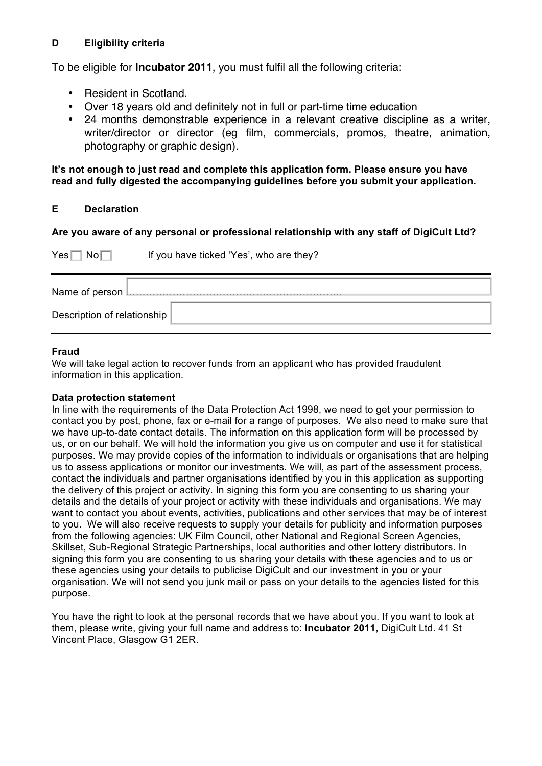# **D Eligibility criteria**

To be eligible for **Incubator 2011**, you must fulfil all the following criteria:

- Resident in Scotland.
- Over 18 years old and definitely not in full or part-time time education
- 24 months demonstrable experience in a relevant creative discipline as a writer, writer/director or director (eg film, commercials, promos, theatre, animation, photography or graphic design).

#### **It's not enough to just read and complete this application form. Please ensure you have read and fully digested the accompanying guidelines before you submit your application.**

#### **E Declaration**

#### **Are you aware of any personal or professional relationship with any staff of DigiCult Ltd?**

| Yes<br>N <sub>o</sub>       | If you have ticked 'Yes', who are they? |
|-----------------------------|-----------------------------------------|
| Name of person I            |                                         |
| Description of relationship |                                         |

#### **Fraud**

We will take legal action to recover funds from an applicant who has provided fraudulent information in this application.

#### **Data protection statement**

In line with the requirements of the Data Protection Act 1998, we need to get your permission to contact you by post, phone, fax or e-mail for a range of purposes. We also need to make sure that we have up-to-date contact details. The information on this application form will be processed by us, or on our behalf. We will hold the information you give us on computer and use it for statistical purposes. We may provide copies of the information to individuals or organisations that are helping us to assess applications or monitor our investments. We will, as part of the assessment process, contact the individuals and partner organisations identified by you in this application as supporting the delivery of this project or activity. In signing this form you are consenting to us sharing your details and the details of your project or activity with these individuals and organisations. We may want to contact you about events, activities, publications and other services that may be of interest to you. We will also receive requests to supply your details for publicity and information purposes from the following agencies: UK Film Council, other National and Regional Screen Agencies, Skillset, Sub-Regional Strategic Partnerships, local authorities and other lottery distributors. In signing this form you are consenting to us sharing your details with these agencies and to us or these agencies using your details to publicise DigiCult and our investment in you or your organisation. We will not send you junk mail or pass on your details to the agencies listed for this purpose.

You have the right to look at the personal records that we have about you. If you want to look at them, please write, giving your full name and address to: **Incubator 2011,** DigiCult Ltd. 41 St Vincent Place, Glasgow G1 2ER.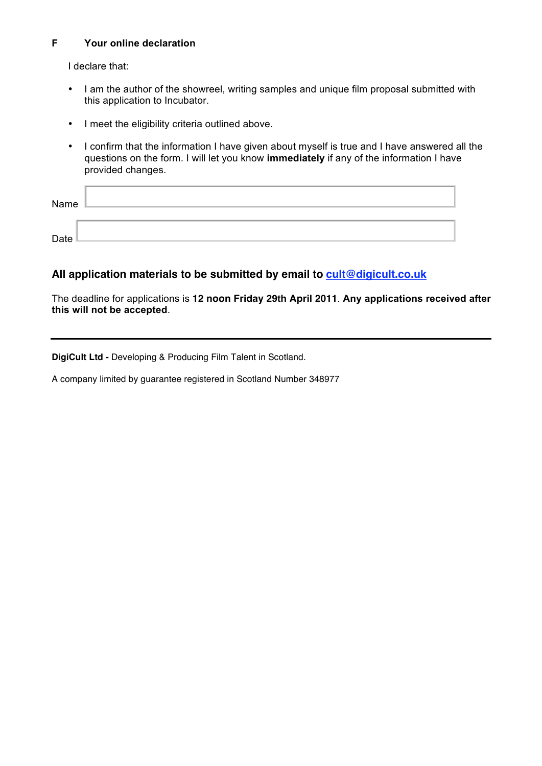# **F Your online declaration**

I declare that:

'n

- I am the author of the showreel, writing samples and unique film proposal submitted with this application to Incubator.
- I meet the eligibility criteria outlined above.
- I confirm that the information I have given about myself is true and I have answered all the questions on the form. I will let you know **immediately** if any of the information I have provided changes.

| Name  |  |
|-------|--|
| Date. |  |

# **All application materials to be submitted by email to cult@digicult.co.uk**

The deadline for applications is **12 noon Friday 29th April 2011**. **Any applications received after this will not be accepted**.

**DigiCult Ltd -** Developing & Producing Film Talent in Scotland.

A company limited by guarantee registered in Scotland Number 348977